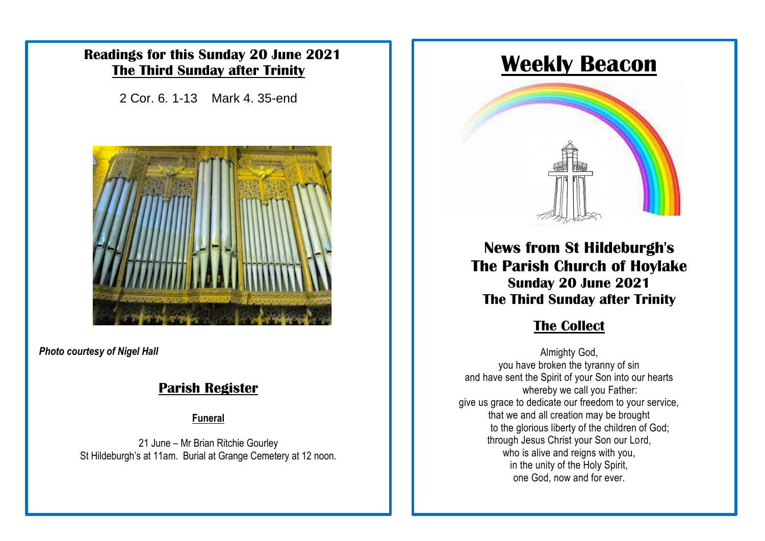### **Readings for this Sunday 20 June 2021 The Third Sunday after Trinity**

2 Cor. 6. 1-13 Mark 4. 35-end



*Photo courtesy of Nigel Hall*

### **Parish Register**

**Funeral**

21 June – Mr Brian Ritchie Gourley St Hildeburgh's at 11am. Burial at Grange Cemetery at 12 noon.

# **Weekly Beacon**



**News from St Hildeburgh's The Parish Church of Hoylake Sunday 20 June 2021 The Third Sunday after Trinity**

### $The Collect$

Almighty God, you have broken the tyranny of sin and have sent the Spirit of your Son into our hearts whereby we call you Father: give us grace to dedicate our freedom to your service, that we and all creation may be brought to the glorious liberty of the children of God; through Jesus Christ your Son our Lord, who is alive and reigns with you, in the unity of the Holy Spirit, one God, now and for ever.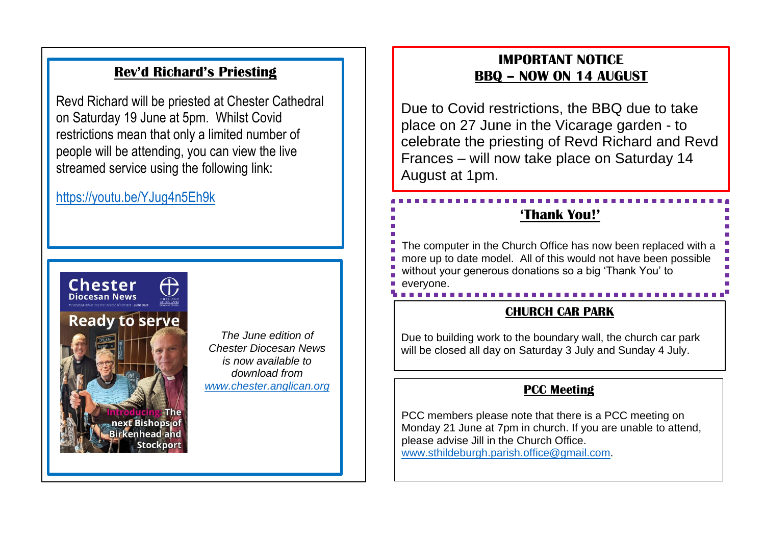### **Rev'd Richard's Priesting**

Revd Richard will be priested at Chester Cathedral on Saturday 19 June at 5pm. Whilst Covid restrictions mean that only a limited number of people will be attending, you can view the live streamed service using the following link:

### <https://youtu.be/YJug4n5Eh9k>



*The June edition of Chester Diocesan News is now available to download from [www.chester.anglican.org](http://www.chester.anglican.org/)*

#### **IMPORTANT NOTICE BBQ – NOW ON 14 AUGUST**

Due to Covid restrictions, the BBQ due to take place on 27 June in the Vicarage garden - to celebrate the priesting of Revd Richard and Revd Frances – will now take place on Saturday 14 August at 1pm.

### **'Thank You!'**

The computer in the Church Office has now been replaced with a more up to date model. All of this would not have been possible without your generous donations so a big 'Thank You' to everyone.

#### **CHURCH CAR PARK**

Due to building work to the boundary wall, the church car park will be closed all day on Saturday 3 July and Sunday 4 July.

#### **PCC Meeting**

PCC members please note that there is a PCC meeting on Monday 21 June at 7pm in church. If you are unable to attend, please advise Jill in the Church Office. [www.sthildeburgh.parish.office@gmail.com.](http://www.sthildeburgh.parish.office@gmail.com)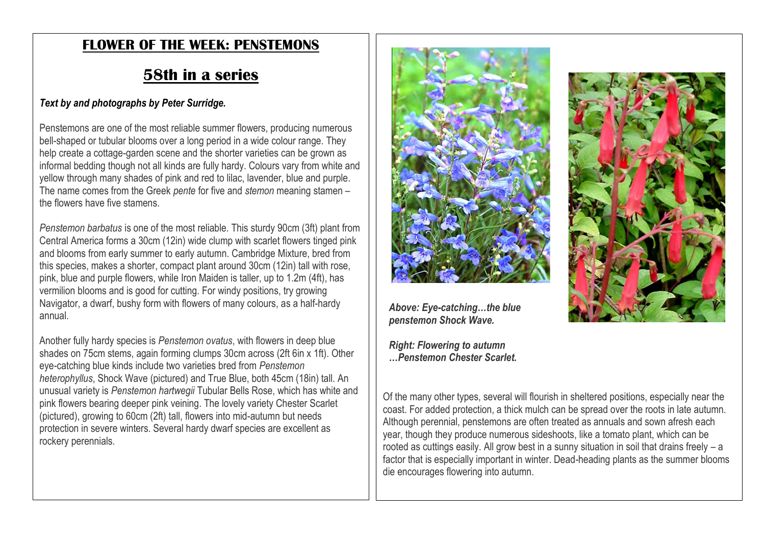### **FLOWER OF THE WEEK: PENSTEMONS**

## **58th in a series**

#### *Text by and photographs by Peter Surridge.*

Penstemons are one of the most reliable summer flowers, producing numerous bell-shaped or tubular blooms over a long period in a wide colour range. They help create a cottage-garden scene and the shorter varieties can be grown as informal bedding though not all kinds are fully hardy. Colours vary from white and yellow through many shades of pink and red to lilac, lavender, blue and purple. The name comes from the Greek *pente* for five and *stemon* meaning stamen – the flowers have five stamens.

*Penstemon barbatus* is one of the most reliable. This sturdy 90cm (3ft) plant from Central America forms a 30cm (12in) wide clump with scarlet flowers tinged pink and blooms from early summer to early autumn. Cambridge Mixture, bred from this species, makes a shorter, compact plant around 30cm (12in) tall with rose, pink, blue and purple flowers, while Iron Maiden is taller, up to 1.2m (4ft), has vermilion blooms and is good for cutting. For windy positions, try growing Navigator, a dwarf, bushy form with flowers of many colours, as a half-hardy annual.

Another fully hardy species is *Penstemon ovatus*, with flowers in deep blue shades on 75cm stems, again forming clumps 30cm across (2ft 6in x 1ft). Other eye-catching blue kinds include two varieties bred from *Penstemon heterophyllus*, Shock Wave (pictured) and True Blue, both 45cm (18in) tall. An unusual variety is *Penstemon hartwegii* Tubular Bells Rose, which has white and pink flowers bearing deeper pink veining. The lovely variety Chester Scarlet (pictured), growing to 60cm (2ft) tall, flowers into mid-autumn but needs protection in severe winters. Several hardy dwarf species are excellent as rockery perennials.



*Above: Eye-catching…the blue penstemon Shock Wave.*

*Right: Flowering to autumn …Penstemon Chester Scarlet.*



Of the many other types, several will flourish in sheltered positions, especially near the coast. For added protection, a thick mulch can be spread over the roots in late autumn. Although perennial, penstemons are often treated as annuals and sown afresh each year, though they produce numerous sideshoots, like a tomato plant, which can be rooted as cuttings easily. All grow best in a sunny situation in soil that drains freely – a factor that is especially important in winter. Dead-heading plants as the summer blooms die encourages flowering into autumn.